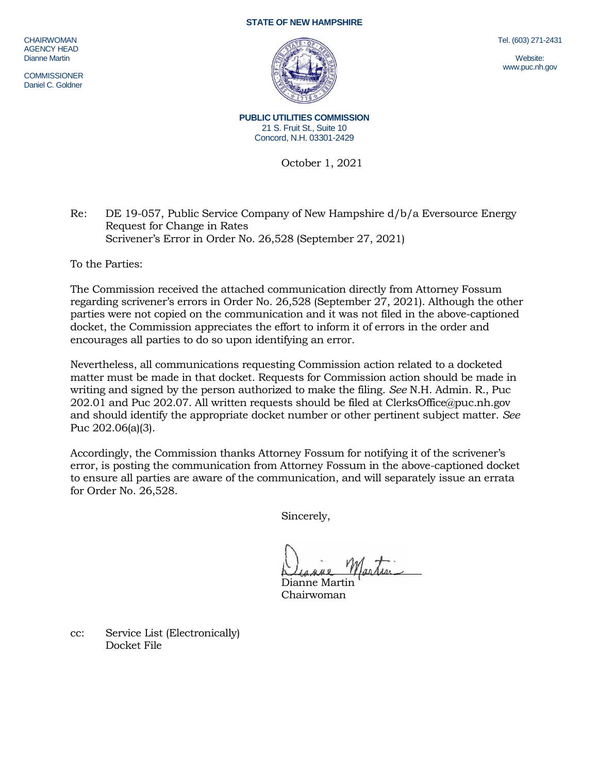## **STATE OF NEW HAMPSHIRE**

CHAIRWOMAN AGENCY HEAD Dianne Martin

**COMMISSIONER** Daniel C. Goldner

**PUBLIC UTILITIES COMMISSION** 21 S. Fruit St., Suite 10 Concord, N.H. 03301-2429

October 1, 2021

## Re: DE 19-057, Public Service Company of New Hampshire d/b/a Eversource Energy Request for Change in Rates Scrivener's Error in Order No. 26,528 (September 27, 2021)

To the Parties:

The Commission received the attached communication directly from Attorney Fossum regarding scrivener's errors in Order No. 26,528 (September 27, 2021). Although the other parties were not copied on the communication and it was not filed in the above-captioned docket, the Commission appreciates the effort to inform it of errors in the order and encourages all parties to do so upon identifying an error.

Nevertheless, all communications requesting Commission action related to a docketed matter must be made in that docket. Requests for Commission action should be made in writing and signed by the person authorized to make the filing. *See* N.H. Admin. R., Puc 202.01 and Puc 202.07. All written requests should be filed at ClerksOffice@puc.nh.gov and should identify the appropriate docket number or other pertinent subject matter. *See* Puc 202.06(a)(3).

Accordingly, the Commission thanks Attorney Fossum for notifying it of the scrivener's error, is posting the communication from Attorney Fossum in the above-captioned docket to ensure all parties are aware of the communication, and will separately issue an errata for Order No. 26,528.

Sincerely,

Diagne Martin

Dianne Martin Chairwoman

cc: Service List (Electronically) Docket File

Tel. (603) 271-2431

Website: www.puc.nh.gov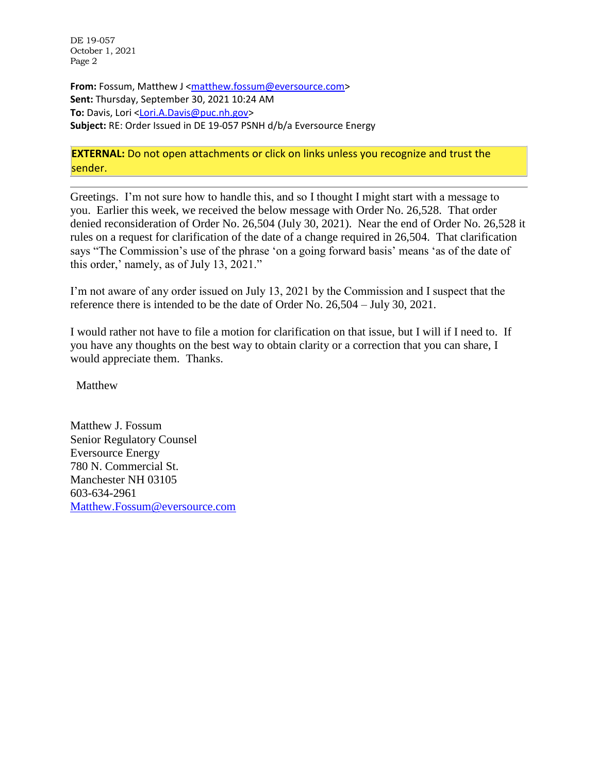DE 19-057 October 1, 2021 Page 2

**From:** Fossum, Matthew J [<matthew.fossum@eversource.com>](mailto:matthew.fossum@eversource.com) **Sent:** Thursday, September 30, 2021 10:24 AM **To:** Davis, Lori [<Lori.A.Davis@puc.nh.gov>](mailto:Lori.A.Davis@puc.nh.gov) **Subject:** RE: Order Issued in DE 19-057 PSNH d/b/a Eversource Energy

## **EXTERNAL:** Do not open attachments or click on links unless you recognize and trust the sender.

Greetings. I'm not sure how to handle this, and so I thought I might start with a message to you. Earlier this week, we received the below message with Order No. 26,528. That order denied reconsideration of Order No. 26,504 (July 30, 2021). Near the end of Order No. 26,528 it rules on a request for clarification of the date of a change required in 26,504. That clarification says "The Commission's use of the phrase 'on a going forward basis' means 'as of the date of this order,' namely, as of July 13, 2021."

I'm not aware of any order issued on July 13, 2021 by the Commission and I suspect that the reference there is intended to be the date of Order No. 26,504 – July 30, 2021.

I would rather not have to file a motion for clarification on that issue, but I will if I need to. If you have any thoughts on the best way to obtain clarity or a correction that you can share, I would appreciate them. Thanks.

Matthew

Matthew J. Fossum Senior Regulatory Counsel Eversource Energy 780 N. Commercial St. Manchester NH 03105 603-634-2961 [Matthew.Fossum@eversource.com](mailto:Matthew.Fossum@eversource.com)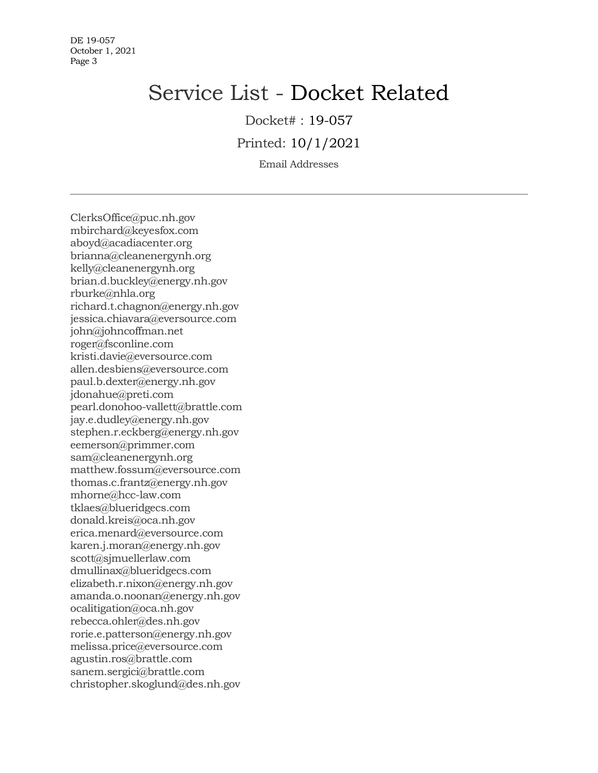## Service List - Docket Related

Docket# : 19-057

Printed: 10/1/2021

Email Addresses

ClerksOffice@puc.nh.gov mbirchard@keyesfox.com aboyd@acadiacenter.org brianna@cleanenergynh.org kelly@cleanenergynh.org brian.d.buckley@energy.nh.gov rburke@nhla.org richard.t.chagnon@energy.nh.gov jessica.chiavara@eversource.com john@johncoffman.net roger@fsconline.com kristi.davie@eversource.com allen.desbiens@eversource.com paul.b.dexter@energy.nh.gov jdonahue@preti.com pearl.donohoo-vallett@brattle.com jay.e.dudley@energy.nh.gov stephen.r.eckberg@energy.nh.gov eemerson@primmer.com sam@cleanenergynh.org matthew.fossum@eversource.com thomas.c.frantz@energy.nh.gov mhorne@hcc-law.com tklaes@blueridgecs.com donald.kreis@oca.nh.gov erica.menard@eversource.com karen.j.moran@energy.nh.gov scott@sjmuellerlaw.com dmullinax@blueridgecs.com elizabeth.r.nixon@energy.nh.gov amanda.o.noonan@energy.nh.gov ocalitigation@oca.nh.gov rebecca.ohler@des.nh.gov rorie.e.patterson@energy.nh.gov melissa.price@eversource.com agustin.ros@brattle.com sanem.sergici@brattle.com christopher.skoglund@des.nh.gov